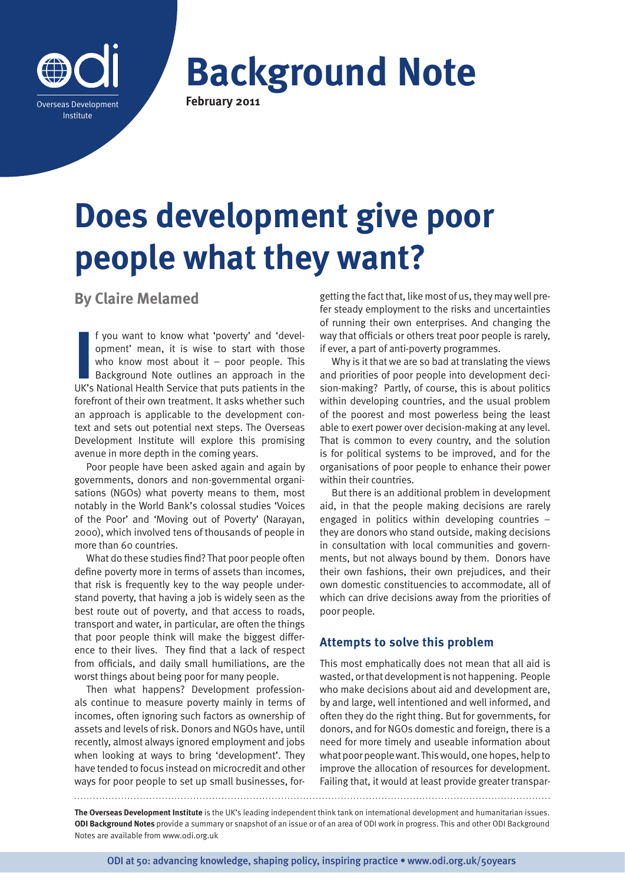

**Background Note February 2011**

# **Does development give poor people what they want?**

**By Claire Melamed**

**I** f you want to know what 'poverty' and 'development' mean, it is wise to start with those who know most about it – poor people. This Background Note outlines an approach in the UK's National Health Service that puts pat f you want to know what 'poverty' and 'development' mean, it is wise to start with those who know most about it  $-$  poor people. This Background Note outlines an approach in the forefront of their own treatment. It asks whether such an approach is applicable to the development context and sets out potential next steps. The Overseas Development Institute will explore this promising avenue in more depth in the coming years.

Poor people have been asked again and again by governments, donors and non-governmental organisations (NGOs) what poverty means to them, most notably in the World Bank's colossal studies 'Voices of the Poor' and 'Moving out of Poverty' (Narayan, 2000), which involved tens of thousands of people in more than 60 countries.

What do these studies find? That poor people often define poverty more in terms of assets than incomes, that risk is frequently key to the way people understand poverty, that having a job is widely seen as the best route out of poverty, and that access to roads, transport and water, in particular, are often the things that poor people think will make the biggest difference to their lives. They find that a lack of respect from officials, and daily small humiliations, are the worst things about being poor for many people.

Then what happens? Development professionals continue to measure poverty mainly in terms of incomes, often ignoring such factors as ownership of assets and levels of risk. Donors and NGOs have, until recently, almost always ignored employment and jobs when looking at ways to bring 'development'. They have tended to focus instead on microcredit and other ways for poor people to set up small businesses, for-

getting the fact that, like most of us, they may well prefer steady employment to the risks and uncertainties of running their own enterprises. And changing the way that officials or others treat poor people is rarely, if ever, a part of anti-poverty programmes.

Why is it that we are so bad at translating the views and priorities of poor people into development decision-making? Partly, of course, this is about politics within developing countries, and the usual problem of the poorest and most powerless being the least able to exert power over decision-making at any level. That is common to every country, and the solution is for political systems to be improved, and for the organisations of poor people to enhance their power within their countries.

But there is an additional problem in development aid, in that the people making decisions are rarely engaged in politics within developing countries – they are donors who stand outside, making decisions in consultation with local communities and governments, but not always bound by them. Donors have their own fashions, their own prejudices, and their own domestic constituencies to accommodate, all of which can drive decisions away from the priorities of poor people.

## **Attempts to solve this problem**

This most emphatically does not mean that all aid is wasted, or that development is not happening. People who make decisions about aid and development are, by and large, well intentioned and well informed, and often they do the right thing. But for governments, for donors, and for NGOs domestic and foreign, there is a need for more timely and useable information about what poor people want. This would, one hopes, help to improve the allocation of resources for development. Failing that, it would at least provide greater transpar-

**The Overseas Development Institute** is the UK's leading independent think tank on international development and humanitarian issues. **ODI Background Notes** provide a summary or snapshot of an issue or of an area of ODI work in progress. This and other ODI Background Notes are available from www.odi.org.uk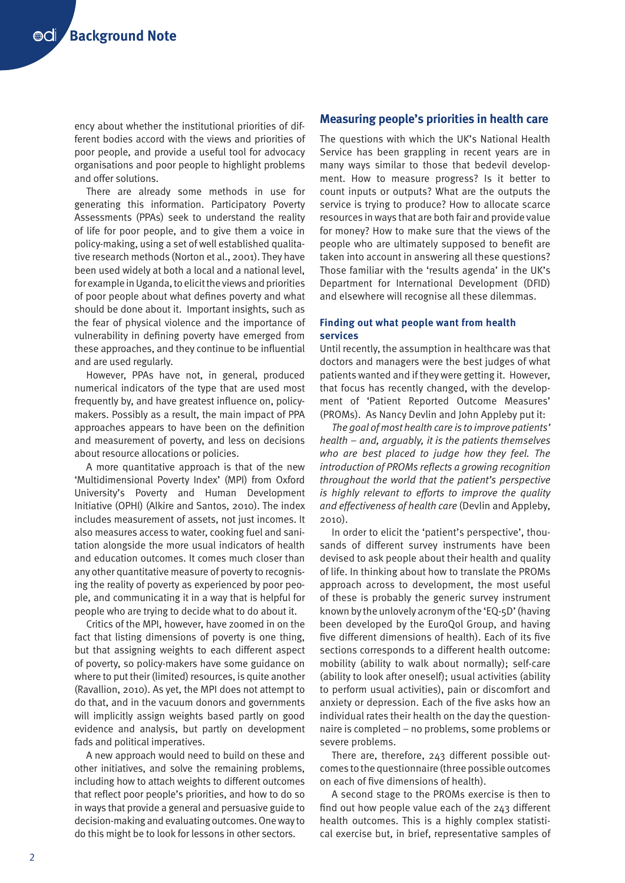ency about whether the institutional priorities of different bodies accord with the views and priorities of poor people, and provide a useful tool for advocacy organisations and poor people to highlight problems and offer solutions.

There are already some methods in use for generating this information. Participatory Poverty Assessments (PPAs) seek to understand the reality of life for poor people, and to give them a voice in policy-making, using a set of well established qualitative research methods (Norton et al., 2001). They have been used widely at both a local and a national level, for example in Uganda, to elicit the views and priorities of poor people about what defines poverty and what should be done about it. Important insights, such as the fear of physical violence and the importance of vulnerability in defining poverty have emerged from these approaches, and they continue to be influential and are used regularly.

However, PPAs have not, in general, produced numerical indicators of the type that are used most frequently by, and have greatest influence on, policymakers. Possibly as a result, the main impact of PPA approaches appears to have been on the definition and measurement of poverty, and less on decisions about resource allocations or policies.

A more quantitative approach is that of the new 'Multidimensional Poverty Index' (MPI) from Oxford University's Poverty and Human Development Initiative (OPHI) (Alkire and Santos, 2010). The index includes measurement of assets, not just incomes. It also measures access to water, cooking fuel and sanitation alongside the more usual indicators of health and education outcomes. It comes much closer than any other quantitative measure of poverty to recognising the reality of poverty as experienced by poor people, and communicating it in a way that is helpful for people who are trying to decide what to do about it.

Critics of the MPI, however, have zoomed in on the fact that listing dimensions of poverty is one thing, but that assigning weights to each different aspect of poverty, so policy-makers have some guidance on where to put their (limited) resources, is quite another (Ravallion, 2010). As yet, the MPI does not attempt to do that, and in the vacuum donors and governments will implicitly assign weights based partly on good evidence and analysis, but partly on development fads and political imperatives.

A new approach would need to build on these and other initiatives, and solve the remaining problems, including how to attach weights to different outcomes that reflect poor people's priorities, and how to do so in ways that provide a general and persuasive guide to decision-making and evaluating outcomes. One way to do this might be to look for lessons in other sectors.

## **Measuring people's priorities in health care**

The questions with which the UK's National Health Service has been grappling in recent years are in many ways similar to those that bedevil development. How to measure progress? Is it better to count inputs or outputs? What are the outputs the service is trying to produce? How to allocate scarce resources in ways that are both fair and provide value for money? How to make sure that the views of the people who are ultimately supposed to benefit are taken into account in answering all these questions? Those familiar with the 'results agenda' in the UK's Department for International Development (DFID) and elsewhere will recognise all these dilemmas.

#### **Finding out what people want from health services**

Until recently, the assumption in healthcare was that doctors and managers were the best judges of what patients wanted and if they were getting it. However, that focus has recently changed, with the development of 'Patient Reported Outcome Measures' (PROMs). As Nancy Devlin and John Appleby put it:

*The goal of most health care is to improve patients' health – and, arguably, it is the patients themselves who are best placed to judge how they feel. The introduction of PROMs reflects a growing recognition throughout the world that the patient's perspective is highly relevant to efforts to improve the quality and effectiveness of health care* (Devlin and Appleby, 2010).

In order to elicit the 'patient's perspective', thousands of different survey instruments have been devised to ask people about their health and quality of life. In thinking about how to translate the PROMs approach across to development, the most useful of these is probably the generic survey instrument known by the unlovely acronym of the 'EQ-5D' (having been developed by the EuroQol Group, and having five different dimensions of health). Each of its five sections corresponds to a different health outcome: mobility (ability to walk about normally); self-care (ability to look after oneself); usual activities (ability to perform usual activities), pain or discomfort and anxiety or depression. Each of the five asks how an individual rates their health on the day the questionnaire is completed – no problems, some problems or severe problems.

There are, therefore, 243 different possible outcomes to the questionnaire (three possible outcomes on each of five dimensions of health).

A second stage to the PROMs exercise is then to find out how people value each of the 243 different health outcomes. This is a highly complex statistical exercise but, in brief, representative samples of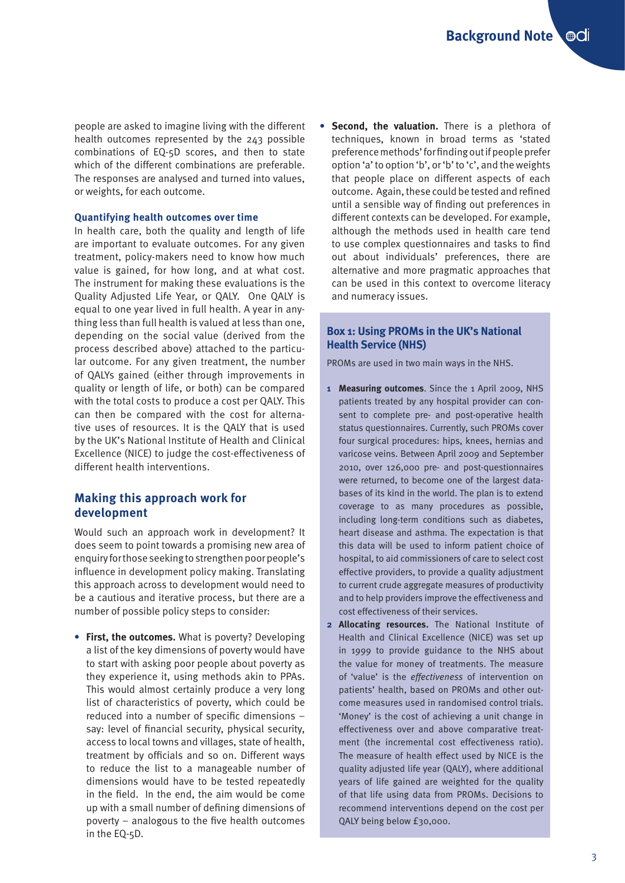people are asked to imagine living with the different health outcomes represented by the 243 possible combinations of EQ-5D scores, and then to state which of the different combinations are preferable. The responses are analysed and turned into values, or weights, for each outcome.

#### **Quantifying health outcomes over time**

In health care, both the quality and length of life are important to evaluate outcomes. For any given treatment, policy-makers need to know how much value is gained, for how long, and at what cost. The instrument for making these evaluations is the Quality Adjusted Life Year, or QALY. One QALY is equal to one year lived in full health. A year in anything less than full health is valued at less than one, depending on the social value (derived from the process described above) attached to the particular outcome. For any given treatment, the number of QALYs gained (either through improvements in quality or length of life, or both) can be compared with the total costs to produce a cost per QALY. This can then be compared with the cost for alternative uses of resources. It is the QALY that is used by the UK's National Institute of Health and Clinical Excellence (NICE) to judge the cost-effectiveness of different health interventions.

## **Making this approach work for development**

Would such an approach work in development? It does seem to point towards a promising new area of enquiry for those seeking to strengthen poor people's influence in development policy making. Translating this approach across to development would need to be a cautious and iterative process, but there are a number of possible policy steps to consider:

**• First, the outcomes.** What is poverty? Developing a list of the key dimensions of poverty would have to start with asking poor people about poverty as they experience it, using methods akin to PPAs. This would almost certainly produce a very long list of characteristics of poverty, which could be reduced into a number of specific dimensions – say: level of financial security, physical security, access to local towns and villages, state of health, treatment by officials and so on. Different ways to reduce the list to a manageable number of dimensions would have to be tested repeatedly in the field. In the end, the aim would be come up with a small number of defining dimensions of poverty – analogous to the five health outcomes in the EQ-5D.

**• Second, the valuation.** There is a plethora of techniques, known in broad terms as 'stated preference methods' for finding out if people prefer option 'a' to option 'b', or 'b' to 'c', and the weights that people place on different aspects of each outcome. Again, these could be tested and refined until a sensible way of finding out preferences in different contexts can be developed. For example, although the methods used in health care tend to use complex questionnaires and tasks to find out about individuals' preferences, there are alternative and more pragmatic approaches that can be used in this context to overcome literacy and numeracy issues.

## **Box 1: Using PROMs in the UK's National Health Service (NHS)**

PROMs are used in two main ways in the NHS.

- **1 Measuring outcomes**. Since the 1 April 2009, NHS patients treated by any hospital provider can consent to complete pre- and post-operative health status questionnaires. Currently, such PROMs cover four surgical procedures: hips, knees, hernias and varicose veins. Between April 2009 and September 2010, over 126,000 pre- and post-questionnaires were returned, to become one of the largest databases of its kind in the world. The plan is to extend coverage to as many procedures as possible, including long-term conditions such as diabetes, heart disease and asthma. The expectation is that this data will be used to inform patient choice of hospital, to aid commissioners of care to select cost effective providers, to provide a quality adjustment to current crude aggregate measures of productivity and to help providers improve the effectiveness and cost effectiveness of their services.
- **2 Allocating resources.** The National Institute of Health and Clinical Excellence (NICE) was set up in 1999 to provide guidance to the NHS about the value for money of treatments. The measure of 'value' is the *effectiveness* of intervention on patients' health, based on PROMs and other outcome measures used in randomised control trials. 'Money' is the cost of achieving a unit change in effectiveness over and above comparative treatment (the incremental cost effectiveness ratio). The measure of health effect used by NICE is the quality adjusted life year (QALY), where additional years of life gained are weighted for the quality of that life using data from PROMs. Decisions to recommend interventions depend on the cost per QALY being below £30,000.